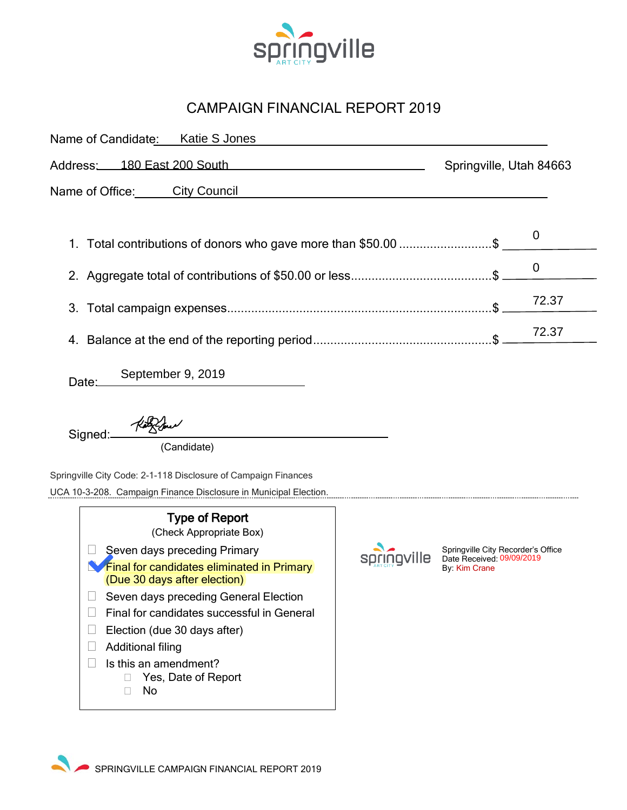

## CAMPAIGN FINANCIAL REPORT 2019

| Name of Candidate: Katie S Jones                                                                                                                                                                                                                                                                                                                                                              |      |                                                                                  |       |  |  |
|-----------------------------------------------------------------------------------------------------------------------------------------------------------------------------------------------------------------------------------------------------------------------------------------------------------------------------------------------------------------------------------------------|------|----------------------------------------------------------------------------------|-------|--|--|
| <u>180 East 200 South</u><br>Address:                                                                                                                                                                                                                                                                                                                                                         |      | Springville, Utah 84663                                                          |       |  |  |
| Name of Office: City Council                                                                                                                                                                                                                                                                                                                                                                  |      |                                                                                  |       |  |  |
|                                                                                                                                                                                                                                                                                                                                                                                               |      |                                                                                  |       |  |  |
| 1. Total contributions of donors who gave more than \$50.00 \$                                                                                                                                                                                                                                                                                                                                |      | 0                                                                                |       |  |  |
|                                                                                                                                                                                                                                                                                                                                                                                               |      | 0                                                                                |       |  |  |
| 3.                                                                                                                                                                                                                                                                                                                                                                                            |      | 72.37                                                                            |       |  |  |
|                                                                                                                                                                                                                                                                                                                                                                                               |      |                                                                                  | 72.37 |  |  |
| September 9, 2019<br>Date:                                                                                                                                                                                                                                                                                                                                                                    |      |                                                                                  |       |  |  |
| Signed:<br>(Candidate)                                                                                                                                                                                                                                                                                                                                                                        |      |                                                                                  |       |  |  |
| Springville City Code: 2-1-118 Disclosure of Campaign Finances<br>UCA 10-3-208. Campaign Finance Disclosure in Municipal Election.                                                                                                                                                                                                                                                            |      |                                                                                  |       |  |  |
| <b>Type of Report</b><br>(Check Appropriate Box)<br>Seven days preceding Primary<br><b>Final for candidates eliminated in Primary</b><br>(Due 30 days after election)<br>Seven days preceding General Election<br>Final for candidates successful in General<br>$\Box$<br>Election (due 30 days after)<br><b>Additional filing</b><br>u<br>Is this an amendment?<br>Yes, Date of Report<br>No | ille | Springville City Recorder's Office<br>Date Received: 09/09/2019<br>By: Kim Crane |       |  |  |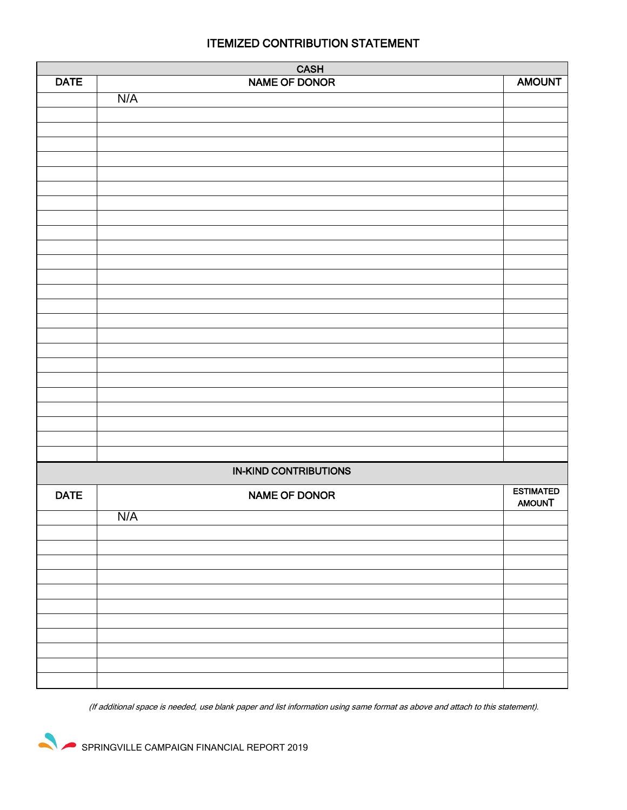| CASH<br>NAME OF DONOR        |               |                  |  |  |
|------------------------------|---------------|------------------|--|--|
| <b>DATE</b>                  |               | <b>AMOUNT</b>    |  |  |
|                              | N/A           |                  |  |  |
|                              |               |                  |  |  |
|                              |               |                  |  |  |
|                              |               |                  |  |  |
|                              |               |                  |  |  |
|                              |               |                  |  |  |
|                              |               |                  |  |  |
|                              |               |                  |  |  |
|                              |               |                  |  |  |
|                              |               |                  |  |  |
|                              |               |                  |  |  |
|                              |               |                  |  |  |
|                              |               |                  |  |  |
|                              |               |                  |  |  |
|                              |               |                  |  |  |
|                              |               |                  |  |  |
|                              |               |                  |  |  |
|                              |               |                  |  |  |
|                              |               |                  |  |  |
|                              |               |                  |  |  |
|                              |               |                  |  |  |
|                              |               |                  |  |  |
|                              |               |                  |  |  |
|                              |               |                  |  |  |
|                              |               |                  |  |  |
|                              |               |                  |  |  |
| <b>IN-KIND CONTRIBUTIONS</b> |               |                  |  |  |
| <b>DATE</b>                  | NAME OF DONOR | <b>ESTIMATED</b> |  |  |
|                              |               | <b>AMOUNT</b>    |  |  |
|                              | N/A           |                  |  |  |
|                              |               |                  |  |  |
|                              |               |                  |  |  |
|                              |               |                  |  |  |
|                              |               |                  |  |  |
|                              |               |                  |  |  |
|                              |               |                  |  |  |
|                              |               |                  |  |  |
|                              |               |                  |  |  |
|                              |               |                  |  |  |
|                              |               |                  |  |  |
|                              |               |                  |  |  |

(If additional space is needed, use blank paper and list information using same format as above and attach to this statement).

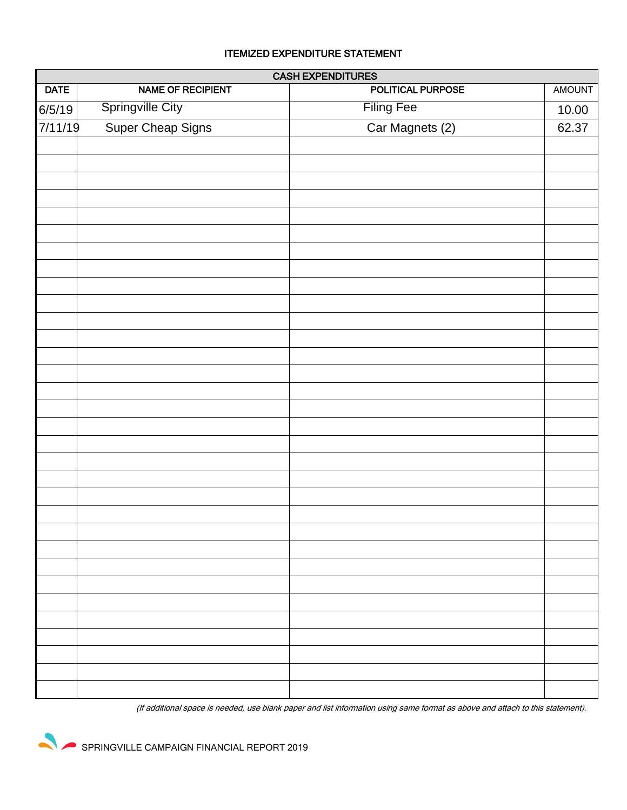## ITEMIZED EXPENDITURE STATEMENT

| <b>CASH EXPENDITURES</b> |                         |                          |        |  |  |  |
|--------------------------|-------------------------|--------------------------|--------|--|--|--|
| <b>DATE</b>              | NAME OF RECIPIENT       | <b>POLITICAL PURPOSE</b> | AMOUNT |  |  |  |
| 6/5/19                   | <b>Springville City</b> | <b>Filing Fee</b>        | 10.00  |  |  |  |
| 7/11/19                  | Super Cheap Signs       | Car Magnets (2)          | 62.37  |  |  |  |
|                          |                         |                          |        |  |  |  |
|                          |                         |                          |        |  |  |  |
|                          |                         |                          |        |  |  |  |
|                          |                         |                          |        |  |  |  |
|                          |                         |                          |        |  |  |  |
|                          |                         |                          |        |  |  |  |
|                          |                         |                          |        |  |  |  |
|                          |                         |                          |        |  |  |  |
|                          |                         |                          |        |  |  |  |
|                          |                         |                          |        |  |  |  |
|                          |                         |                          |        |  |  |  |
|                          |                         |                          |        |  |  |  |
|                          |                         |                          |        |  |  |  |
|                          |                         |                          |        |  |  |  |
|                          |                         |                          |        |  |  |  |
|                          |                         |                          |        |  |  |  |
|                          |                         |                          |        |  |  |  |
|                          |                         |                          |        |  |  |  |
|                          |                         |                          |        |  |  |  |
|                          |                         |                          |        |  |  |  |
|                          |                         |                          |        |  |  |  |
|                          |                         |                          |        |  |  |  |
|                          |                         |                          |        |  |  |  |
|                          |                         |                          |        |  |  |  |
|                          |                         |                          |        |  |  |  |
|                          |                         |                          |        |  |  |  |
|                          |                         |                          |        |  |  |  |
|                          |                         |                          |        |  |  |  |
|                          |                         |                          |        |  |  |  |
|                          |                         |                          |        |  |  |  |
|                          |                         |                          |        |  |  |  |

(If additional space is needed, use blank paper and list information using same format as above and attach to this statement).